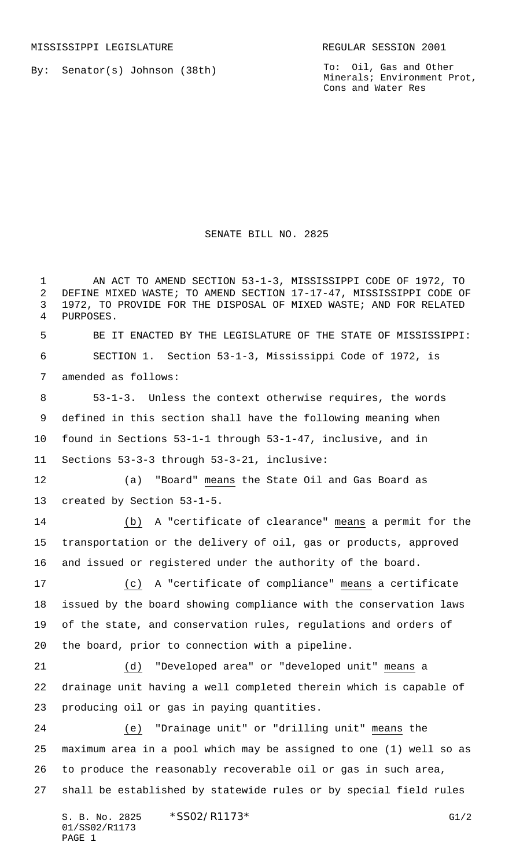01/SS02/R1173

PAGE 1

By: Senator(s) Johnson (38th)

To: Oil, Gas and Other Minerals; Environment Prot, Cons and Water Res

## SENATE BILL NO. 2825

S. B. No. 2825 \* SSO2/R1173\* G1/2 AN ACT TO AMEND SECTION 53-1-3, MISSISSIPPI CODE OF 1972, TO DEFINE MIXED WASTE; TO AMEND SECTION 17-17-47, MISSISSIPPI CODE OF 1972, TO PROVIDE FOR THE DISPOSAL OF MIXED WASTE; AND FOR RELATED PURPOSES. BE IT ENACTED BY THE LEGISLATURE OF THE STATE OF MISSISSIPPI: SECTION 1. Section 53-1-3, Mississippi Code of 1972, is amended as follows: 53-1-3. Unless the context otherwise requires, the words defined in this section shall have the following meaning when found in Sections 53-1-1 through 53-1-47, inclusive, and in Sections 53-3-3 through 53-3-21, inclusive: (a) "Board" means the State Oil and Gas Board as created by Section 53-1-5. (b) A "certificate of clearance" means a permit for the transportation or the delivery of oil, gas or products, approved and issued or registered under the authority of the board. (c) A "certificate of compliance" means a certificate issued by the board showing compliance with the conservation laws of the state, and conservation rules, regulations and orders of the board, prior to connection with a pipeline. (d) "Developed area" or "developed unit" means a drainage unit having a well completed therein which is capable of producing oil or gas in paying quantities. (e) "Drainage unit" or "drilling unit" means the maximum area in a pool which may be assigned to one (1) well so as to produce the reasonably recoverable oil or gas in such area, shall be established by statewide rules or by special field rules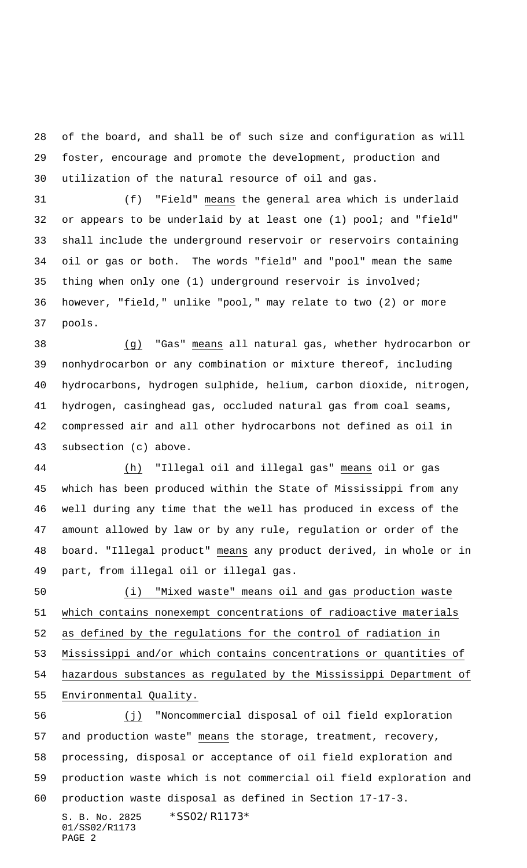of the board, and shall be of such size and configuration as will foster, encourage and promote the development, production and utilization of the natural resource of oil and gas.

 (f) "Field" means the general area which is underlaid or appears to be underlaid by at least one (1) pool; and "field" shall include the underground reservoir or reservoirs containing oil or gas or both. The words "field" and "pool" mean the same thing when only one (1) underground reservoir is involved; however, "field," unlike "pool," may relate to two (2) or more pools.

 (g) "Gas" means all natural gas, whether hydrocarbon or nonhydrocarbon or any combination or mixture thereof, including hydrocarbons, hydrogen sulphide, helium, carbon dioxide, nitrogen, hydrogen, casinghead gas, occluded natural gas from coal seams, compressed air and all other hydrocarbons not defined as oil in subsection (c) above.

 (h) "Illegal oil and illegal gas" means oil or gas which has been produced within the State of Mississippi from any well during any time that the well has produced in excess of the amount allowed by law or by any rule, regulation or order of the board. "Illegal product" means any product derived, in whole or in part, from illegal oil or illegal gas.

 (i) "Mixed waste" means oil and gas production waste which contains nonexempt concentrations of radioactive materials as defined by the regulations for the control of radiation in Mississippi and/or which contains concentrations or quantities of hazardous substances as regulated by the Mississippi Department of Environmental Quality.

S. B. No. 2825 \* SS02/R1173\* (j) "Noncommercial disposal of oil field exploration 57 and production waste" means the storage, treatment, recovery, processing, disposal or acceptance of oil field exploration and production waste which is not commercial oil field exploration and production waste disposal as defined in Section 17-17-3.

01/SS02/R1173 PAGE 2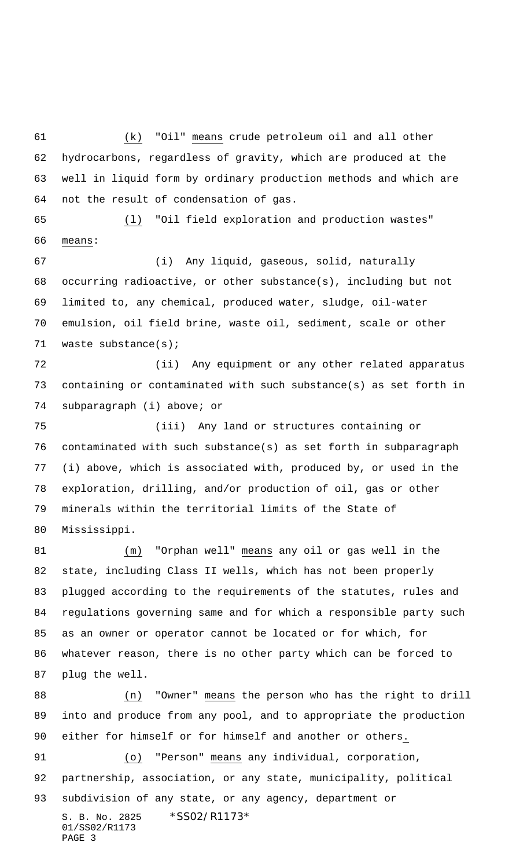(k) "Oil" means crude petroleum oil and all other hydrocarbons, regardless of gravity, which are produced at the well in liquid form by ordinary production methods and which are not the result of condensation of gas.

 (l) "Oil field exploration and production wastes" means:

 (i) Any liquid, gaseous, solid, naturally occurring radioactive, or other substance(s), including but not limited to, any chemical, produced water, sludge, oil-water emulsion, oil field brine, waste oil, sediment, scale or other waste substance(s);

 (ii) Any equipment or any other related apparatus containing or contaminated with such substance(s) as set forth in subparagraph (i) above; or

 (iii) Any land or structures containing or contaminated with such substance(s) as set forth in subparagraph (i) above, which is associated with, produced by, or used in the exploration, drilling, and/or production of oil, gas or other minerals within the territorial limits of the State of Mississippi.

 (m) "Orphan well" means any oil or gas well in the state, including Class II wells, which has not been properly plugged according to the requirements of the statutes, rules and regulations governing same and for which a responsible party such as an owner or operator cannot be located or for which, for whatever reason, there is no other party which can be forced to plug the well.

 (n) "Owner" means the person who has the right to drill into and produce from any pool, and to appropriate the production either for himself or for himself and another or others. (o) "Person" means any individual, corporation,

S. B. No. 2825 \* SS02/R1173\* partnership, association, or any state, municipality, political subdivision of any state, or any agency, department or

01/SS02/R1173 PAGE 3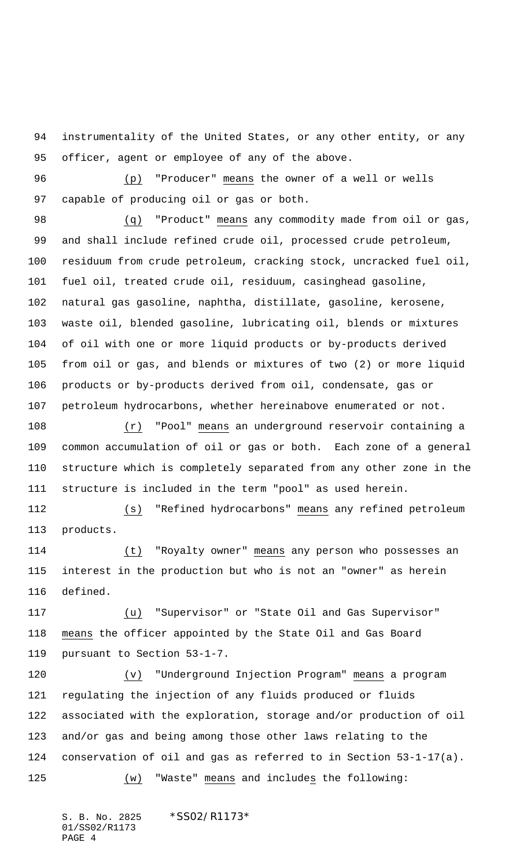instrumentality of the United States, or any other entity, or any officer, agent or employee of any of the above.

 (p) "Producer" means the owner of a well or wells capable of producing oil or gas or both.

 (q) "Product" means any commodity made from oil or gas, and shall include refined crude oil, processed crude petroleum, residuum from crude petroleum, cracking stock, uncracked fuel oil, fuel oil, treated crude oil, residuum, casinghead gasoline, natural gas gasoline, naphtha, distillate, gasoline, kerosene, waste oil, blended gasoline, lubricating oil, blends or mixtures of oil with one or more liquid products or by-products derived from oil or gas, and blends or mixtures of two (2) or more liquid products or by-products derived from oil, condensate, gas or petroleum hydrocarbons, whether hereinabove enumerated or not.

 (r) "Pool" means an underground reservoir containing a common accumulation of oil or gas or both. Each zone of a general structure which is completely separated from any other zone in the structure is included in the term "pool" as used herein.

 (s) "Refined hydrocarbons" means any refined petroleum products.

 (t) "Royalty owner" means any person who possesses an interest in the production but who is not an "owner" as herein defined.

 (u) "Supervisor" or "State Oil and Gas Supervisor" means the officer appointed by the State Oil and Gas Board pursuant to Section 53-1-7.

 (v) "Underground Injection Program" means a program regulating the injection of any fluids produced or fluids associated with the exploration, storage and/or production of oil and/or gas and being among those other laws relating to the conservation of oil and gas as referred to in Section 53-1-17(a). (w) "Waste" means and includes the following:

S. B. No. 2825 \*SS02/R1173\* 01/SS02/R1173 PAGE 4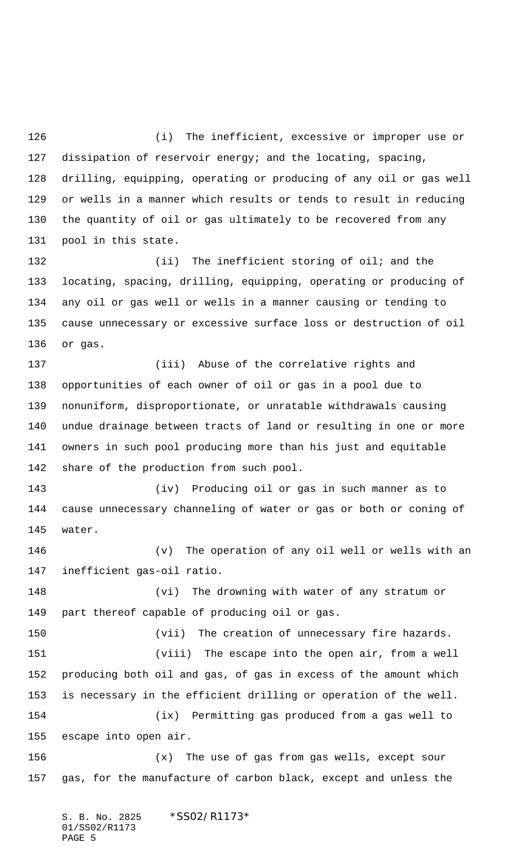(i) The inefficient, excessive or improper use or dissipation of reservoir energy; and the locating, spacing, drilling, equipping, operating or producing of any oil or gas well or wells in a manner which results or tends to result in reducing the quantity of oil or gas ultimately to be recovered from any pool in this state.

132 (ii) The inefficient storing of oil; and the locating, spacing, drilling, equipping, operating or producing of any oil or gas well or wells in a manner causing or tending to cause unnecessary or excessive surface loss or destruction of oil or gas.

 (iii) Abuse of the correlative rights and opportunities of each owner of oil or gas in a pool due to nonuniform, disproportionate, or unratable withdrawals causing undue drainage between tracts of land or resulting in one or more owners in such pool producing more than his just and equitable share of the production from such pool.

 (iv) Producing oil or gas in such manner as to cause unnecessary channeling of water or gas or both or coning of water.

 (v) The operation of any oil well or wells with an inefficient gas-oil ratio.

 (vi) The drowning with water of any stratum or part thereof capable of producing oil or gas.

(vii) The creation of unnecessary fire hazards.

 (viii) The escape into the open air, from a well producing both oil and gas, of gas in excess of the amount which is necessary in the efficient drilling or operation of the well. (ix) Permitting gas produced from a gas well to escape into open air.

 (x) The use of gas from gas wells, except sour gas, for the manufacture of carbon black, except and unless the

S. B. No. 2825 \* SS02/R1173\* 01/SS02/R1173 PAGE 5